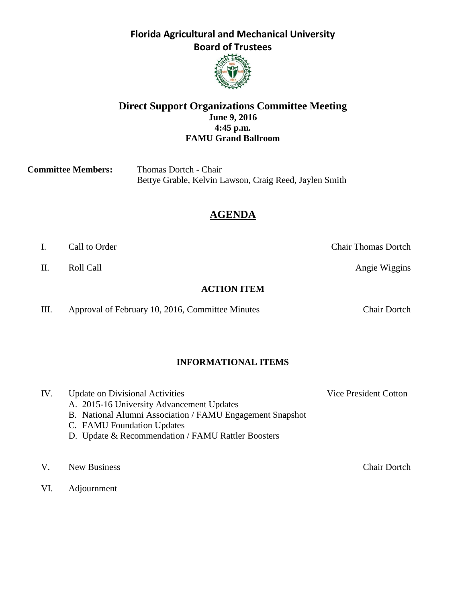

#### **Direct Support Organizations Committee Meeting June 9, 2016 4:45 p.m. FAMU Grand Ballroom**

**Committee Members:** Thomas Dortch - Chair Bettye Grable, Kelvin Lawson, Craig Reed, Jaylen Smith

# **AGENDA**

- 
- II. Roll Call **Call Roll Call Angie Wiggins**

#### **ACTION ITEM**

III. Approval of February 10, 2016, Committee Minutes Chair Dortch

### **INFORMATIONAL ITEMS**

IV. Update on Divisional Activities Vice President Cotton

- A. 2015-16 University Advancement Updates
- B. National Alumni Association / FAMU Engagement Snapshot
- C. FAMU Foundation Updates
- D. Update & Recommendation / FAMU Rattler Boosters
- V. New Business Chair Dortch
- VI. Adjournment

I. Call to Order Chair Thomas Dortch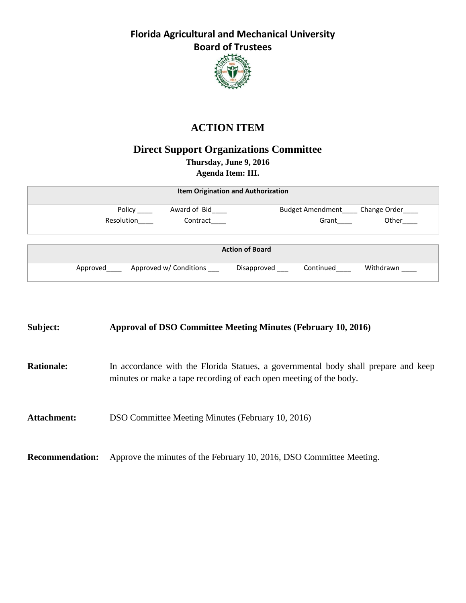

# **ACTION ITEM**

# **Direct Support Organizations Committee**

**Thursday, June 9, 2016**

**Agenda Item: III.**

| <b>Item Origination and Authorization</b> |                                         |
|-------------------------------------------|-----------------------------------------|
| Award of Bid<br>Policy                    | <b>Budget Amendment</b><br>Change Order |
| Resolution<br>Contract                    | Other<br>Grant                          |
| <b>Action of Board</b>                    |                                         |
| Approved w/ Conditions<br>Approved        | Withdrawn<br>Disapproved<br>Continued   |

**Subject: Approval of DSO Committee Meeting Minutes (February 10, 2016) Rationale:** In accordance with the Florida Statues, a governmental body shall prepare and keep minutes or make a tape recording of each open meeting of the body. **Attachment:** DSO Committee Meeting Minutes (February 10, 2016) **Recommendation:** Approve the minutes of the February 10, 2016, DSO Committee Meeting.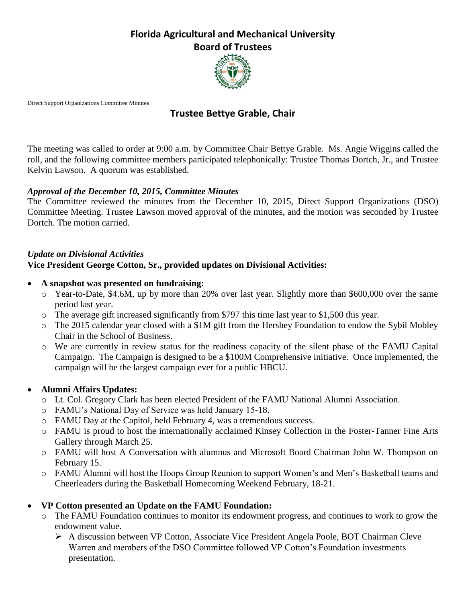

Direct Support Organizations Committee Minutes

## **Trustee Bettye Grable, Chair**

The meeting was called to order at 9:00 a.m. by Committee Chair Bettye Grable*.* Ms. Angie Wiggins called the roll, and the following committee members participated telephonically: Trustee Thomas Dortch, Jr., and Trustee Kelvin Lawson. A quorum was established.

#### *Approval of the December 10, 2015, Committee Minutes*

The Committee reviewed the minutes from the December 10, 2015, Direct Support Organizations (DSO) Committee Meeting. Trustee Lawson moved approval of the minutes, and the motion was seconded by Trustee Dortch. The motion carried.

#### *Update on Divisional Activities* **Vice President George Cotton, Sr., provided updates on Divisional Activities:**

- **A snapshot was presented on fundraising:** 
	- o Year-to-Date, \$4.6M, up by more than 20% over last year. Slightly more than \$600,000 over the same period last year.
	- o The average gift increased significantly from \$797 this time last year to \$1,500 this year.
	- $\circ$  The 2015 calendar year closed with a \$1M gift from the Hershey Foundation to endow the Sybil Mobley Chair in the School of Business.
	- o We are currently in review status for the readiness capacity of the silent phase of the FAMU Capital Campaign. The Campaign is designed to be a \$100M Comprehensive initiative. Once implemented, the campaign will be the largest campaign ever for a public HBCU.

### **Alumni Affairs Updates:**

- o Lt. Col. Gregory Clark has been elected President of the FAMU National Alumni Association.
- o FAMU's National Day of Service was held January 15-18.
- o FAMU Day at the Capitol, held February 4, was a tremendous success.
- o FAMU is proud to host the internationally acclaimed Kinsey Collection in the Foster-Tanner Fine Arts Gallery through March 25.
- o FAMU will host A Conversation with alumnus and Microsoft Board Chairman John W. Thompson on February 15.
- o FAMU Alumni will host the Hoops Group Reunion to support Women's and Men's Basketball teams and Cheerleaders during the Basketball Homecoming Weekend February, 18-21.

### **VP Cotton presented an Update on the FAMU Foundation:**

- o The FAMU Foundation continues to monitor its endowment progress, and continues to work to grow the endowment value.
	- A discussion between VP Cotton, Associate Vice President Angela Poole, BOT Chairman Cleve Warren and members of the DSO Committee followed VP Cotton's Foundation investments presentation.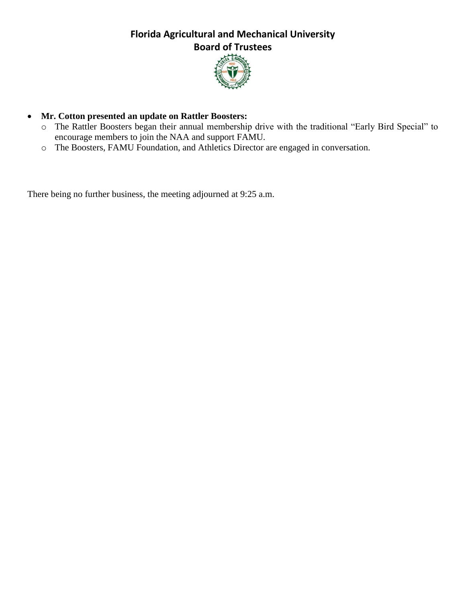

### **Mr. Cotton presented an update on Rattler Boosters:**

- o The Rattler Boosters began their annual membership drive with the traditional "Early Bird Special" to encourage members to join the NAA and support FAMU.
- o The Boosters, FAMU Foundation, and Athletics Director are engaged in conversation.

There being no further business, the meeting adjourned at 9:25 a.m.